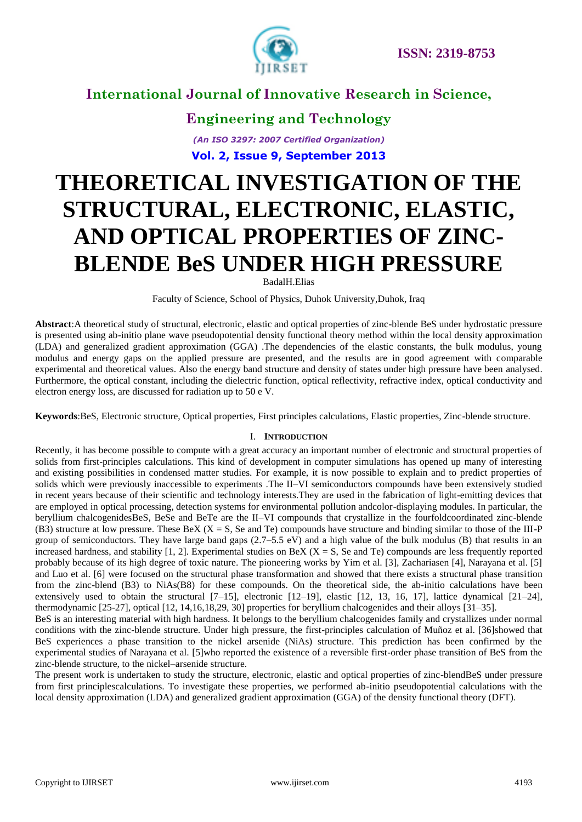

**Engineering and Technology** *(An ISO 3297: 2007 Certified Organization)* **Vol. 2, Issue 9, September 2013**

# **THEORETICAL INVESTIGATION OF THE STRUCTURAL, ELECTRONIC, ELASTIC, AND OPTICAL PROPERTIES OF ZINC-BLENDE BeS UNDER HIGH PRESSURE**

BadalH.Elias

Faculty of Science, School of Physics, Duhok University,Duhok, Iraq

**Abstract**:A theoretical study of structural, electronic, elastic and optical properties of zinc-blende BeS under hydrostatic pressure is presented using ab-initio plane wave pseudopotential density functional theory method within the local density approximation (LDA) and generalized gradient approximation (GGA) .The dependencies of the elastic constants, the bulk modulus, young modulus and energy gaps on the applied pressure are presented, and the results are in good agreement with comparable experimental and theoretical values. Also the energy band structure and density of states under high pressure have been analysed. Furthermore, the optical constant, including the dielectric function, optical reflectivity, refractive index, optical conductivity and electron energy loss, are discussed for radiation up to 50 e V.

**Keywords**:BeS, Electronic structure, Optical properties, First principles calculations, Elastic properties, Zinc-blende structure.

### I. **INTRODUCTION**

Recently, it has become possible to compute with a great accuracy an important number of electronic and structural properties of solids from first-principles calculations. This kind of development in computer simulations has opened up many of interesting and existing possibilities in condensed matter studies. For example, it is now possible to explain and to predict properties of solids which were previously inaccessible to experiments .The II–VI semiconductors compounds have been extensively studied in recent years because of their scientific and technology interests.They are used in the fabrication of light-emitting devices that are employed in optical processing, detection systems for environmental pollution andcolor-displaying modules. In particular, the beryllium chalcogenidesBeS, BeSe and BeTe are the II–VI compounds that crystallize in the fourfoldcoordinated zinc-blende (B3) structure at low pressure. These BeX  $(X = S$ , Se and Te) compounds have structure and binding similar to those of the III-P group of semiconductors. They have large band gaps  $(2.7–5.5 \text{ eV})$  and a high value of the bulk modulus (B) that results in an increased hardness, and stability [1, 2]. Experimental studies on BeX ( $X = S$ , Se and Te) compounds are less frequently reported probably because of its high degree of toxic nature. The pioneering works by Yim et al. [3], Zachariasen [4], Narayana et al. [5] and Luo et al. [6] were focused on the structural phase transformation and showed that there exists a structural phase transition from the zinc-blend (B3) to NiAs(B8) for these compounds. On the theoretical side, the ab-initio calculations have been extensively used to obtain the structural  $[7-15]$ , electronic  $[12-19]$ , elastic  $[12, 13, 16, 17]$ , lattice dynamical  $[21-24]$ , thermodynamic [25-27], optical [12, 14,16,18,29, 30] properties for beryllium chalcogenides and their alloys [31–35].

BeS is an interesting material with high hardness. It belongs to the beryllium chalcogenides family and crystallizes under normal conditions with the zinc-blende structure. Under high pressure, the first-principles calculation of Muñoz et al. [36]showed that BeS experiences a phase transition to the nickel arsenide (NiAs) structure. This prediction has been confirmed by the experimental studies of Narayana et al. [5]who reported the existence of a reversible first-order phase transition of BeS from the zinc-blende structure, to the nickel–arsenide structure.

The present work is undertaken to study the structure, electronic, elastic and optical properties of zinc-blendBeS under pressure from first principlescalculations. To investigate these properties, we performed ab-initio pseudopotential calculations with the local density approximation (LDA) and generalized gradient approximation (GGA) of the density functional theory (DFT).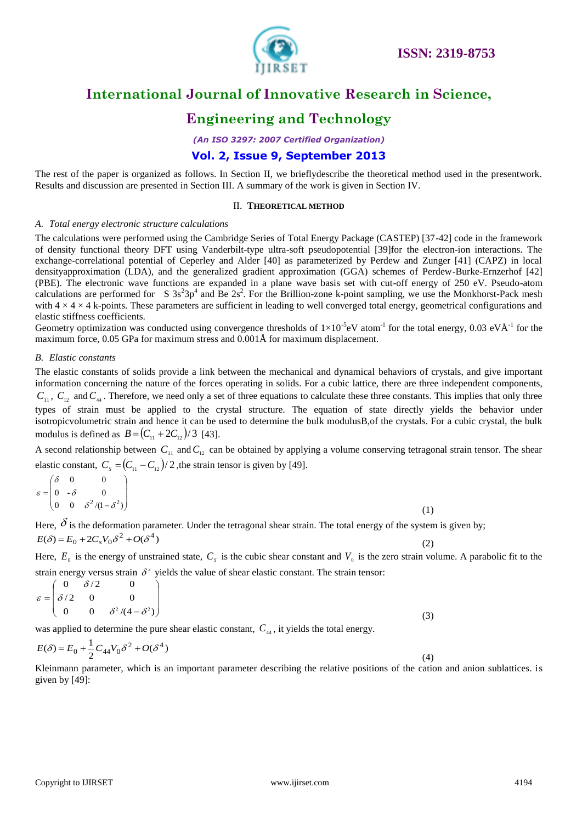

## **Engineering and Technology**

*(An ISO 3297: 2007 Certified Organization)*

### **Vol. 2, Issue 9, September 2013**

The rest of the paper is organized as follows. In Section II, we brieflydescribe the theoretical method used in the presentwork. Results and discussion are presented in Section III. A summary of the work is given in Section IV.

### II. **THEORETICAL METHOD**

### *A. Total energy electronic structure calculations*

The calculations were performed using the Cambridge Series of Total Energy Package (CASTEP) [37-42] code in the framework of density functional theory DFT using Vanderbilt-type ultra-soft pseudopotential [39]for the electron-ion interactions. The exchange-correlational potential of Ceperley and Alder [40] as parameterized by Perdew and Zunger [41] (CAPZ) in local densityapproximation (LDA), and the generalized gradient approximation (GGA) schemes of Perdew-Burke-Ernzerhof [42] (PBE). The electronic wave functions are expanded in a plane wave basis set with cut-off energy of 250 eV. Pseudo-atom calculations are performed for S  $3s^23p^4$  and Be  $2s^2$ . For the Brillion-zone k-point sampling, we use the Monkhorst-Pack mesh with  $4 \times 4 \times 4$  k-points. These parameters are sufficient in leading to well converged total energy, geometrical configurations and elastic stiffness coefficients.

Geometry optimization was conducted using convergence thresholds of  $1\times10^{-5}$ eV atom<sup>-1</sup> for the total energy, 0.03 eVÅ<sup>-1</sup> for the maximum force, 0.05 GPa for maximum stress and 0.001Å for maximum displacement.

#### *B. Elastic constants*

The elastic constants of solids provide a link between the mechanical and dynamical behaviors of crystals, and give important information concerning the nature of the forces operating in solids. For a cubic lattice, there are three independent components,  $C_{11}$ ,  $C_{12}$  and  $C_{44}$ . Therefore, we need only a set of three equations to calculate these three constants. This implies that only three types of strain must be applied to the crystal structure. The equation of state directly yields the behavior under isotropicvolumetric strain and hence it can be used to determine the bulk modulusB,of the crystals. For a cubic crystal, the bulk modulus is defined as  $B = (C_{11} + 2C_{12})/3$  [43].

A second relationship between  $C_{11}$  and  $C_{12}$  can be obtained by applying a volume conserving tetragonal strain tensor. The shear elastic constant,  $C_s = (C_{11} - C_{12})/2$ , the strain tensor is given by [49].

|  | $\varepsilon = \begin{pmatrix} \delta & 0 & 0 \\ 0 & -\delta & 0 \\ 0 & 0 & \delta^2/(1-\delta^2) \end{pmatrix}$ |
|--|------------------------------------------------------------------------------------------------------------------|

Here,  $\delta$  is the deformation parameter. Under the tetragonal shear strain. The total energy of the system is given by; (2)  $E(\delta) = E_0 + 2C_s V_0 \delta^2 + O(\delta^4)$ 

Here,  $E_0$  is the energy of unstrained state,  $C_s$  is the cubic shear constant and  $V_0$  is the zero strain volume. A parabolic fit to the strain energy versus strain  $\delta^2$  yields the value of shear elastic constant. The strain tensor:

$$
\varepsilon = \begin{pmatrix} 0 & \delta/2 & 0 \\ \delta/2 & 0 & 0 \\ 0 & 0 & \delta^2/(4-\delta^2) \end{pmatrix}
$$
 (3)

was applied to determine the pure shear elastic constant,  $C_{44}$ , it yields the total energy.

$$
E(\delta) = E_0 + \frac{1}{2} C_{44} V_0 \delta^2 + O(\delta^4)
$$
\n(4)

Kleinmann parameter, which is an important parameter describing the relative positions of the cation and anion sublattices. is given by [49]: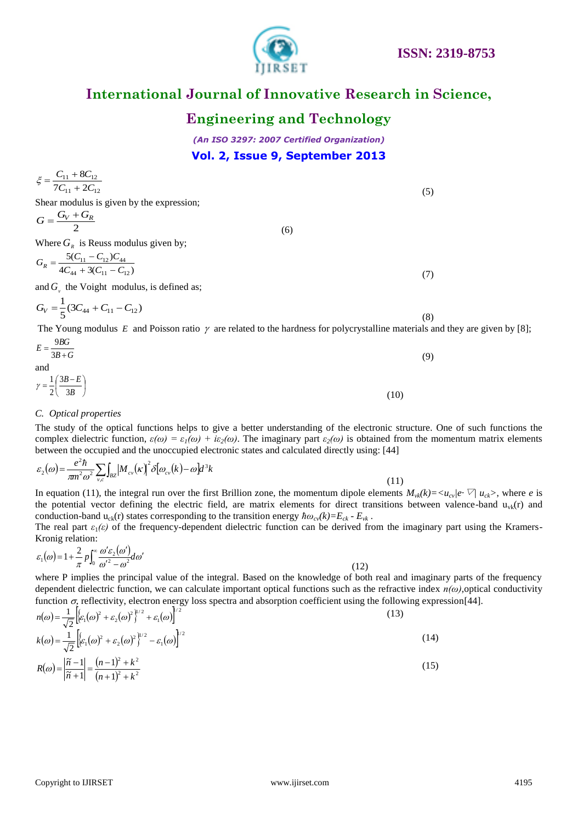### Copyright to IJIRSET [www.ijirset.com](http://www.ijirset.com/) 4195

# **International Journal of Innovative Research in Science,**

# **Engineering and Technology**

*(An ISO 3297: 2007 Certified Organization)* **Vol. 2, Issue 9, September 2013**

$$
\xi = \frac{C_{11} + 8C_{12}}{7C_{11} + 2C_{12}}
$$
\n(5)  
\nShear modulus is given by the expression;  
\n
$$
G = \frac{G_V + G_R}{2}
$$
\n(6)  
\nWhere  $G_R$  is Reuss modulus given by;  
\n
$$
G_R = \frac{5(C_{11} - C_{12})C_{44}}{4C_{44} + 3(C_{11} - C_{12})}
$$
\nand  $G_v$  the Voight modulus, is defined as;  
\n
$$
G_V = \frac{1}{5}(3C_{44} + C_{11} - C_{12})
$$
\n(8)

The Young modulus E and Poisson ratio  $\gamma$  are related to the hardness for polycrystalline materials and they are given by [8];

$$
E = \frac{9BG}{3B+G}
$$
  
and  

$$
\gamma = \frac{1}{2} \left( \frac{3B-E}{3B} \right)
$$
 (10)

### *C. Optical properties*

The study of the optical functions helps to give a better understanding of the electronic structure. One of such functions the complex dielectric function,  $\varepsilon(\omega) = \varepsilon_1(\omega) + i\varepsilon_2(\omega)$ . The imaginary part  $\varepsilon_2(\omega)$  is obtained from the momentum matrix elements between the occupied and the unoccupied electronic states and calculated directly using: [44]

$$
\varepsilon_2(\omega) = \frac{e^2 \hbar}{\pi m^2 \omega^2} \sum_{v,c} \int_{BZ} \left| M_{cv}(\kappa) \right|^2 \delta[\omega_{cv}(k) - \omega] d^3k
$$

In equation (11), the integral run over the first Brillion zone, the momentum dipole elements  $M_{\nu k}(k) = \langle u_{\nu} | e \nabla | u_{\nu} \rangle$ , where *e* is the potential vector defining the electric field, are matrix elements for direct transitions between valence-band  $u_{v_k}(r)$  and conduction-band  $u_{ck}(r)$  states corresponding to the transition energy  $\hbar \omega_{cv}(k) = E_{ck} - E_{vk}$ .

The real part  $\varepsilon_1(\varepsilon)$  of the frequency-dependent dielectric function can be derived from the imaginary part using the Kramers-Kronig relation:

$$
\varepsilon_1(\omega) = 1 + \frac{2}{\pi} p \int_0^\infty \frac{\omega' \varepsilon_2(\omega')}{\omega'^2 - \omega^2} d\omega' \tag{12}
$$

where P implies the principal value of the integral. Based on the knowledge of both real and imaginary parts of the frequency dependent dielectric function, we can calculate important optical functions such as the refractive index *n(ω)*,optical conductivity function  $\sigma$ , reflectivity, electron energy loss spectra and absorption coefficient using the following expression[44].  $1/2$  $1-\overline{1}$ 

$$
n(\omega) = \frac{1}{\sqrt{2}} \left[ \varepsilon_1(\omega)^2 + \varepsilon_2(\omega)^2 \right]^{1/2} + \varepsilon_1(\omega) \Big]^{1/2}
$$
\n
$$
k(\omega) = \frac{1}{\sqrt{2}} \left[ \varepsilon_1(\omega)^2 + \varepsilon_2(\omega)^2 \right]^{1/2} - \varepsilon_1(\omega) \Big]^{1/2}
$$
\n
$$
R(\omega) - \left| \frac{\tilde{n} - 1}{1/2} \right| - \left| \frac{(n - 1)^2 + k^2}{1/2} \right|^{1/2}
$$
\n(15)

$$
R(\omega) = \left| \frac{\tilde{n} - 1}{\tilde{n} + 1} \right| = \frac{(n - 1)^2 + k^2}{(n + 1)^2 + k^2}
$$
\n(15)

(11)



(8)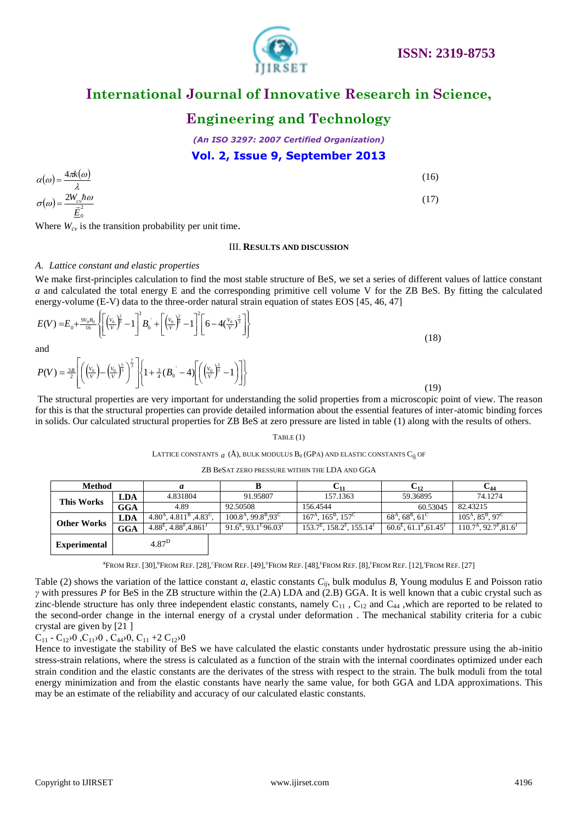

# **International Journal of Innovative Research in Science,**

# **Engineering and Technology**

*(An ISO 3297: 2007 Certified Organization)* **Vol. 2, Issue 9, September 2013**

$$
\alpha(\omega) = \frac{4\pi k(\omega)}{\lambda}
$$
\n
$$
\sigma(\omega) = \frac{2W_{c}h\omega}{\vec{E}_0}
$$
\n(15)

#### III. **RESULTS AND DISCUSSION**

### *A. Lattice constant and elastic properties*

$$
E(V) = E_0 + \frac{9V_0B_0}{16} \left\{ \left[ \left( \frac{V_0}{V} \right)^2 \hat{\vec{B}} - 1 \right]^3 B_0 + \left[ \left( \frac{V_0}{V} \right)^2 \hat{\vec{B}} - 1 \right]^2 \left[ 6 - 4 \left( \frac{V_0}{V} \right)^2 \right] \right\}
$$
\nand

\n
$$
(18)
$$

$$
P(V) = \frac{3B}{2} \left[ \left( \left( \frac{V_0}{V} \right) - \left( \frac{V_0}{V} \right)^{\frac{2}{3}} \right)^{\frac{7}{3}} \right] \left\{ 1 + \frac{3}{4} (B_0 \bigg( -4) \left[ \left( \left( \frac{V_0}{V} \right)^{\frac{2}{3}} - 1 \right) \right] \right\}
$$

#### TABLE (1)

### LATTICE CONSTANTS  $\,a\,$  (Å), bulk modulus B<sub>0</sub> (GPa) and elastic constants C<sub>ij</sub> of

#### ZB BeSAT ZERO PRESSURE WITHIN THE LDA AND GGA

|     | $\alpha(\omega) = \frac{\pi \alpha(\omega)}{2}$                                                               |                          |                                                                                                                                                                                                                                                            |                                                                                         |                                                                                                                                                                                                                                                                                                                                                                                                                                                                                                                                                                                                                                                                                                                                                                                                                                                                                                                                                                                                                                                                                                    | (10)                              |                                                            |
|-----|---------------------------------------------------------------------------------------------------------------|--------------------------|------------------------------------------------------------------------------------------------------------------------------------------------------------------------------------------------------------------------------------------------------------|-----------------------------------------------------------------------------------------|----------------------------------------------------------------------------------------------------------------------------------------------------------------------------------------------------------------------------------------------------------------------------------------------------------------------------------------------------------------------------------------------------------------------------------------------------------------------------------------------------------------------------------------------------------------------------------------------------------------------------------------------------------------------------------------------------------------------------------------------------------------------------------------------------------------------------------------------------------------------------------------------------------------------------------------------------------------------------------------------------------------------------------------------------------------------------------------------------|-----------------------------------|------------------------------------------------------------|
|     | $\sigma(\omega) = \frac{2W_{c} \hbar \omega}{\vec{E}_{0}^{2}}$                                                |                          |                                                                                                                                                                                                                                                            |                                                                                         |                                                                                                                                                                                                                                                                                                                                                                                                                                                                                                                                                                                                                                                                                                                                                                                                                                                                                                                                                                                                                                                                                                    | (17)                              |                                                            |
|     |                                                                                                               |                          | Where $W_{cv}$ is the transition probability per unit time.                                                                                                                                                                                                |                                                                                         |                                                                                                                                                                                                                                                                                                                                                                                                                                                                                                                                                                                                                                                                                                                                                                                                                                                                                                                                                                                                                                                                                                    |                                   |                                                            |
|     |                                                                                                               |                          |                                                                                                                                                                                                                                                            | <b>III. RESULTS AND DISCUSSION</b>                                                      |                                                                                                                                                                                                                                                                                                                                                                                                                                                                                                                                                                                                                                                                                                                                                                                                                                                                                                                                                                                                                                                                                                    |                                   |                                                            |
|     | A. Lattice constant and elastic properties                                                                    |                          |                                                                                                                                                                                                                                                            |                                                                                         |                                                                                                                                                                                                                                                                                                                                                                                                                                                                                                                                                                                                                                                                                                                                                                                                                                                                                                                                                                                                                                                                                                    |                                   |                                                            |
|     |                                                                                                               |                          |                                                                                                                                                                                                                                                            |                                                                                         | We make first-principles calculation to find the most stable structure of BeS, we set a series of different values of lattice constant<br>a and calculated the total energy E and the corresponding primitive cell volume V for the ZB BeS. By fitting the calculat<br>energy-volume (E-V) data to the three-order natural strain equation of states EOS [45, 46, 47]                                                                                                                                                                                                                                                                                                                                                                                                                                                                                                                                                                                                                                                                                                                              |                                   |                                                            |
|     |                                                                                                               |                          | $E(V) = E_0 + \frac{9V_0B_0}{16} \left\{ \left[ \left( \frac{V_0}{V} \right)^{\frac{2}{9}} - 1 \right]^3 B_0 + \left[ \left( \frac{V_0}{V} \right)^{\frac{2}{9}} - 1 \right]^2 \left[ 6 - 4 \left( \frac{V_0}{V} \right)^{\frac{2}{3}} \right] \right\}$   |                                                                                         |                                                                                                                                                                                                                                                                                                                                                                                                                                                                                                                                                                                                                                                                                                                                                                                                                                                                                                                                                                                                                                                                                                    | (18)                              |                                                            |
| and |                                                                                                               |                          |                                                                                                                                                                                                                                                            |                                                                                         |                                                                                                                                                                                                                                                                                                                                                                                                                                                                                                                                                                                                                                                                                                                                                                                                                                                                                                                                                                                                                                                                                                    |                                   |                                                            |
|     |                                                                                                               |                          | $P(V) = \frac{3B}{2} \left[ \left( \frac{V_0}{V} \right) - \left( \frac{V_0}{V} \right)^{\frac{5}{3}} \right]^{\frac{7}{3}} \left[ \left\{ 1 + \frac{3}{4} (B_0 \right) - 4 \right] \left[ \left( \frac{V_0}{V} \right)^{\frac{2}{3}} - 1 \right] \right]$ |                                                                                         |                                                                                                                                                                                                                                                                                                                                                                                                                                                                                                                                                                                                                                                                                                                                                                                                                                                                                                                                                                                                                                                                                                    | (19)                              |                                                            |
|     |                                                                                                               |                          |                                                                                                                                                                                                                                                            |                                                                                         | The structural properties are very important for understanding the solid properties from a microscopic point of view. The reas<br>for this is that the structural properties can provide detailed information about the essential features of inter-atomic binding for<br>in solids. Our calculated structural properties for ZB BeS at zero pressure are listed in table (1) along with the results of others.                                                                                                                                                                                                                                                                                                                                                                                                                                                                                                                                                                                                                                                                                    |                                   |                                                            |
|     |                                                                                                               |                          |                                                                                                                                                                                                                                                            | TABLE(1)                                                                                |                                                                                                                                                                                                                                                                                                                                                                                                                                                                                                                                                                                                                                                                                                                                                                                                                                                                                                                                                                                                                                                                                                    |                                   |                                                            |
|     |                                                                                                               |                          |                                                                                                                                                                                                                                                            |                                                                                         | LATTICE CONSTANTS $a(\AA)$ , BULK MODULUS $B_0$ (GPA) AND ELASTIC CONSTANTS $C_{ii}$ OF                                                                                                                                                                                                                                                                                                                                                                                                                                                                                                                                                                                                                                                                                                                                                                                                                                                                                                                                                                                                            |                                   |                                                            |
|     |                                                                                                               |                          |                                                                                                                                                                                                                                                            | ZB BeSAT ZERO PRESSURE WITHIN THE LDA AND GGA                                           |                                                                                                                                                                                                                                                                                                                                                                                                                                                                                                                                                                                                                                                                                                                                                                                                                                                                                                                                                                                                                                                                                                    |                                   |                                                            |
|     | <b>Method</b>                                                                                                 |                          | a                                                                                                                                                                                                                                                          | B                                                                                       | $C_{11}$                                                                                                                                                                                                                                                                                                                                                                                                                                                                                                                                                                                                                                                                                                                                                                                                                                                                                                                                                                                                                                                                                           | $C_{12}$                          | $C_{44}$                                                   |
|     | <b>This Works</b>                                                                                             | LDA                      | 4.831804<br>4.89                                                                                                                                                                                                                                           | 91.95807<br>92.50508                                                                    | 157.1363<br>156.4544                                                                                                                                                                                                                                                                                                                                                                                                                                                                                                                                                                                                                                                                                                                                                                                                                                                                                                                                                                                                                                                                               | 59.36895                          | 74.1274                                                    |
|     |                                                                                                               | <b>GGA</b><br><b>LDA</b> | $4.80A$ , $4.811B$ , $4.83C$ ,                                                                                                                                                                                                                             | $100.8A$ , 99.8 <sup>B</sup> , 93 <sup>C</sup>                                          | $167A$ , $165B$ , $157C$                                                                                                                                                                                                                                                                                                                                                                                                                                                                                                                                                                                                                                                                                                                                                                                                                                                                                                                                                                                                                                                                           | 60.53045<br>$68A$ , $68B$ , $61C$ | 82.43215<br>$105^{\text{A}}, 85^{\text{B}}, 97^{\text{C}}$ |
|     | <b>Other Works</b>                                                                                            | <b>GGA</b>               | $4.88^{E}$ , $4.88^{F}$ , $4.861^{J}$                                                                                                                                                                                                                      | $91.6^{E}$ , 93.1 <sup>F</sup> , 96.03 <sup>J</sup>                                     | $153.7^E$ , $158.2^F$ , $155.14^J$                                                                                                                                                                                                                                                                                                                                                                                                                                                                                                                                                                                                                                                                                                                                                                                                                                                                                                                                                                                                                                                                 | $60.6^E, 61.1^F, 61.45^J$         | $110.7A$ , 92.7 <sup>F</sup> , 81.6 <sup>J</sup>           |
|     | <b>Experimental</b>                                                                                           |                          | 4.87 <sup>D</sup>                                                                                                                                                                                                                                          |                                                                                         |                                                                                                                                                                                                                                                                                                                                                                                                                                                                                                                                                                                                                                                                                                                                                                                                                                                                                                                                                                                                                                                                                                    |                                   |                                                            |
|     |                                                                                                               |                          |                                                                                                                                                                                                                                                            |                                                                                         | <sup>A</sup> FROM REF. [30], <sup>B</sup> FROM REF. [28], FROM REF. [49], FROM REF. [48], FROM REF. [8], FROM REF. [12], FROM REF. [27]                                                                                                                                                                                                                                                                                                                                                                                                                                                                                                                                                                                                                                                                                                                                                                                                                                                                                                                                                            |                                   |                                                            |
|     | crystal are given by [21]<br>$C_{11}$ - $C_{12}$ $0$ , $C_{11}$ $0$ , $C_{44}$ $0$ , $C_{11}$ +2 $C_{12}$ $0$ |                          |                                                                                                                                                                                                                                                            | may be an estimate of the reliability and accuracy of our calculated elastic constants. | Table (2) shows the variation of the lattice constant a, elastic constants $C_{ij}$ , bulk modulus B, Young modulus E and Poisson ra<br>y with pressures P for BeS in the ZB structure within the $(2.A)$ LDA and $(2.B)$ GGA. It is well known that a cubic crystal such<br>zinc-blende structure has only three independent elastic constants, namely $C_{11}$ , $C_{12}$ and $C_{44}$ , which are reported to be related<br>the second-order change in the internal energy of a crystal under deformation. The mechanical stability criteria for a cul<br>Hence to investigate the stability of BeS we have calculated the elastic constants under hydrostatic pressure using the ab-ini<br>stress-strain relations, where the stress is calculated as a function of the strain with the internal coordinates optimized under ea<br>strain condition and the elastic constants are the derivates of the stress with respect to the strain. The bulk moduli from the to<br>energy minimization and from the elastic constants have nearly the same value, for both GGA and LDA approximations. T |                                   |                                                            |
|     |                                                                                                               |                          |                                                                                                                                                                                                                                                            |                                                                                         |                                                                                                                                                                                                                                                                                                                                                                                                                                                                                                                                                                                                                                                                                                                                                                                                                                                                                                                                                                                                                                                                                                    |                                   |                                                            |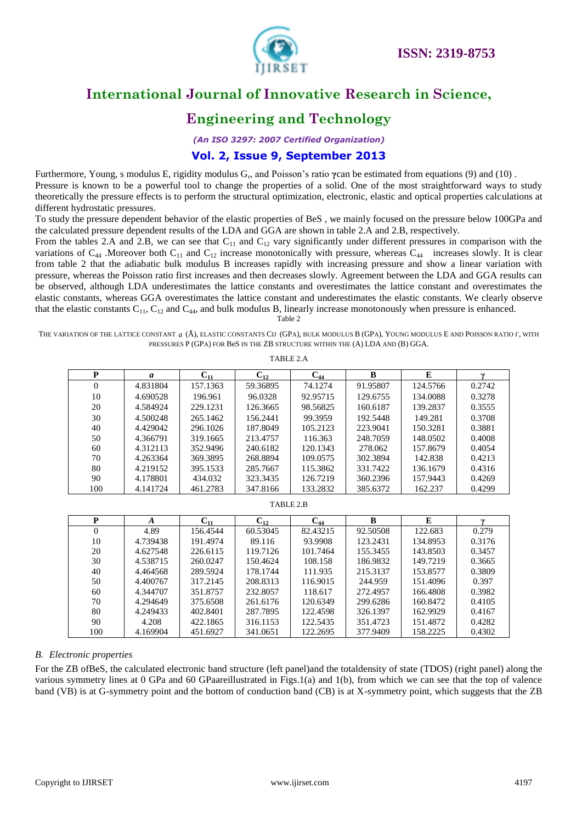

# **Engineering and Technology**

*(An ISO 3297: 2007 Certified Organization)*

### **Vol. 2, Issue 9, September 2013**

Furthermore, Young, s modulus E, rigidity modulus G<sub>r</sub>, and Poisson's ratio γcan be estimated from equations (9) and (10). Pressure is known to be a powerful tool to change the properties of a solid. One of the most straightforward ways to study theoretically the pressure effects is to perform the structural optimization, electronic, elastic and optical properties calculations at different hydrostatic pressures.

To study the pressure dependent behavior of the elastic properties of BeS , we mainly focused on the pressure below 100GPa and the calculated pressure dependent results of the LDA and GGA are shown in table 2.A and 2.B, respectively.

From the tables 2.A and 2.B, we can see that  $C_{11}$  and  $C_{12}$  vary significantly under different pressures in comparison with the variations of  $C_{44}$ . Moreover both  $C_{11}$  and  $C_{12}$  increase monotonically with pressure, whereas  $C_{44}$  increases slowly. It is clear from table 2 that the adiabatic bulk modulus B increases rapidly with increasing pressure and show a linear variation with pressure, whereas the Poisson ratio first increases and then decreases slowly. Agreement between the LDA and GGA results can be observed, although LDA underestimates the lattice constants and overestimates the lattice constant and overestimates the elastic constants, whereas GGA overestimates the lattice constant and underestimates the elastic constants. We clearly observe that the elastic constants  $C_{11}$ ,  $C_{12}$  and  $C_{44}$ , and bulk modulus B, linearly increase monotonously when pressure is enhanced. Table 2

THE VARIATION OF THE LATTICE CONSTANT *a* (Å), ELASTIC CONSTANTS CΠ (GPA), BULK MODULUS **B** (GPA), YOUNG MODULUS E AND POISSON RATIO Γ, WITH PRESSURES P (GPA) FOR BeS IN THE ZB STRUCTURE WITHIN THE (A) LDA AND (B) GGA.

| P   | a        | $U_{11}$ | $C_{12}$ | $\bf C_{44}$ | B        | E        |        |
|-----|----------|----------|----------|--------------|----------|----------|--------|
| 0   | 4.831804 | 157.1363 | 59.36895 | 74.1274      | 91.95807 | 124.5766 | 0.2742 |
| 10  | 4.690528 | 196.961  | 96.0328  | 92.95715     | 129.6755 | 134.0088 | 0.3278 |
| 20  | 4.584924 | 229.1231 | 126.3665 | 98.56825     | 160.6187 | 139.2837 | 0.3555 |
| 30  | 4.500248 | 265.1462 | 156.2441 | 99.3959      | 192.5448 | 149.281  | 0.3708 |
| 40  | 4.429042 | 296.1026 | 187.8049 | 105.2123     | 223.9041 | 150.3281 | 0.3881 |
| 50  | 4.366791 | 319.1665 | 213.4757 | 116.363      | 248.7059 | 148.0502 | 0.4008 |
| 60  | 4.312113 | 352.9496 | 240.6182 | 120.1343     | 278.062  | 157.8679 | 0.4054 |
| 70  | 4.263364 | 369.3895 | 268.8894 | 109.0575     | 302.3894 | 142.838  | 0.4213 |
| 80  | 4.219152 | 395.1533 | 285,7667 | 115.3862     | 331.7422 | 136.1679 | 0.4316 |
| 90  | 4.178801 | 434.032  | 323.3435 | 126.7219     | 360.2396 | 157.9443 | 0.4269 |
| 100 | 4.141724 | 461.2783 | 347.8166 | 133.2832     | 385.6372 | 162.237  | 0.4299 |

TABLE 2.B

| P        | A        | $\mathbf{C_{11}}$ | $C_{12}$ | $\bf{C_{44}}$ | B        | E        |        |
|----------|----------|-------------------|----------|---------------|----------|----------|--------|
| $\theta$ | 4.89     | 156.4544          | 60.53045 | 82.43215      | 92.50508 | 122.683  | 0.279  |
| 10       | 4.739438 | 191.4974          | 89.116   | 93.9908       | 123.2431 | 134.8953 | 0.3176 |
| 20       | 4.627548 | 226.6115          | 119.7126 | 101.7464      | 155.3455 | 143.8503 | 0.3457 |
| 30       | 4.538715 | 260.0247          | 150.4624 | 108.158       | 186.9832 | 149.7219 | 0.3665 |
| 40       | 4.464568 | 289.5924          | 178.1744 | 111.935       | 215.3137 | 153.8577 | 0.3809 |
| 50       | 4.400767 | 317.2145          | 208.8313 | 116.9015      | 244.959  | 151.4096 | 0.397  |
| 60       | 4.344707 | 351.8757          | 232.8057 | 118.617       | 272.4957 | 166.4808 | 0.3982 |
| 70       | 4.294649 | 375.6508          | 261.6176 | 120.6349      | 299.6286 | 160.8472 | 0.4105 |
| 80       | 4.249433 | 402.8401          | 287.7895 | 122.4598      | 326.1397 | 162.9929 | 0.4167 |
| 90       | 4.208    | 422.1865          | 316.1153 | 122.5435      | 351.4723 | 151.4872 | 0.4282 |
| 100      | 4.169904 | 451.6927          | 341.0651 | 122.2695      | 377.9409 | 158.2225 | 0.4302 |

### *B. Electronic properties*

For the ZB ofBeS, the calculated electronic band structure (left panel)and the totaldensity of state (TDOS) (right panel) along the various symmetry lines at 0 GPa and 60 GPaareillustrated in Figs.1(a) and 1(b), from which we can see that the top of valence band (VB) is at G-symmetry point and the bottom of conduction band (CB) is at X-symmetry point, which suggests that the ZB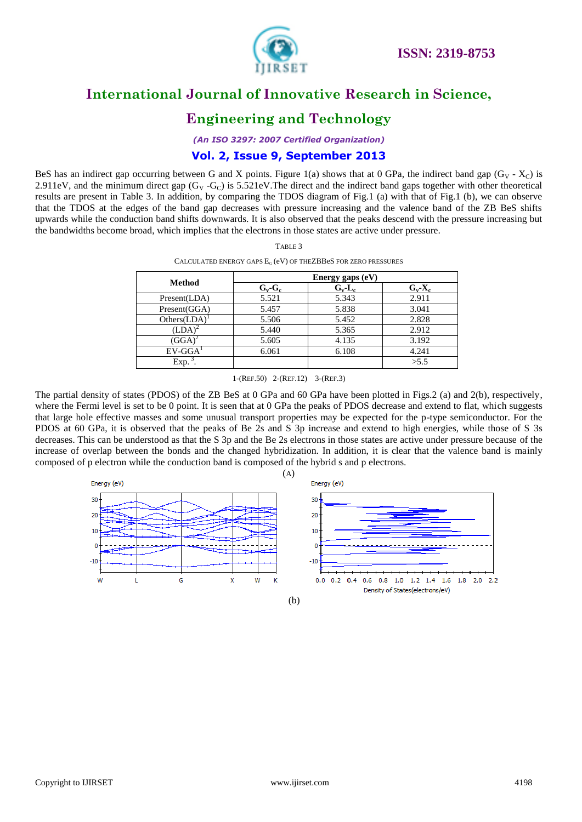

# **Engineering and Technology**

*(An ISO 3297: 2007 Certified Organization)*

### **Vol. 2, Issue 9, September 2013**

BeS has an indirect gap occurring between G and X points. Figure 1(a) shows that at 0 GPa, the indirect band gap (G<sub>V</sub> -  $X_C$ ) is 2.911eV, and the minimum direct gap  $(G_V - G_C)$  is 5.521eV. The direct and the indirect band gaps together with other theoretical results are present in Table 3. In addition, by comparing the TDOS diagram of Fig.1 (a) with that of Fig.1 (b), we can observe that the TDOS at the edges of the band gap decreases with pressure increasing and the valence band of the ZB BeS shifts upwards while the conduction band shifts downwards. It is also observed that the peaks descend with the pressure increasing but the bandwidths become broad, which implies that the electrons in those states are active under pressure.

| <b>Method</b> |           |           |             |
|---------------|-----------|-----------|-------------|
|               | $G_v-G_c$ | $G_v-L_c$ | $G_v - X_c$ |
| Present(LDA)  | 5.521     | 5.343     | 2.911       |
| Present(GGA)  | 5.457     | 5.838     | 3.041       |
| Others(LDA)   | 5.506     | 5.452     | 2.828       |
| (LDA)         | 5.440     | 5.365     | 2.912       |
| $(GGA)^2$     | 5.605     | 4.135     | 3.192       |
| $EV-GGA1$     | 6.061     | 6.108     | 4.241       |
| Exp.          |           |           | >5.5        |

TABLE 3

1-(REF.50) 2-(REF.12) 3-(REF.3)

The partial density of states (PDOS) of the ZB BeS at 0 GPa and 60 GPa have been plotted in Figs.2 (a) and 2(b), respectively, where the Fermi level is set to be 0 point. It is seen that at 0 GPa the peaks of PDOS decrease and extend to flat, which suggests that large hole effective masses and some unusual transport properties may be expected for the p-type semiconductor. For the PDOS at 60 GPa, it is observed that the peaks of Be 2s and S 3p increase and extend to high energies, while those of S 3s decreases. This can be understood as that the S 3p and the Be 2s electrons in those states are active under pressure because of the increase of overlap between the bonds and the changed hybridization. In addition, it is clear that the valence band is mainly composed of p electron while the conduction band is composed of the hybrid s and p electrons.

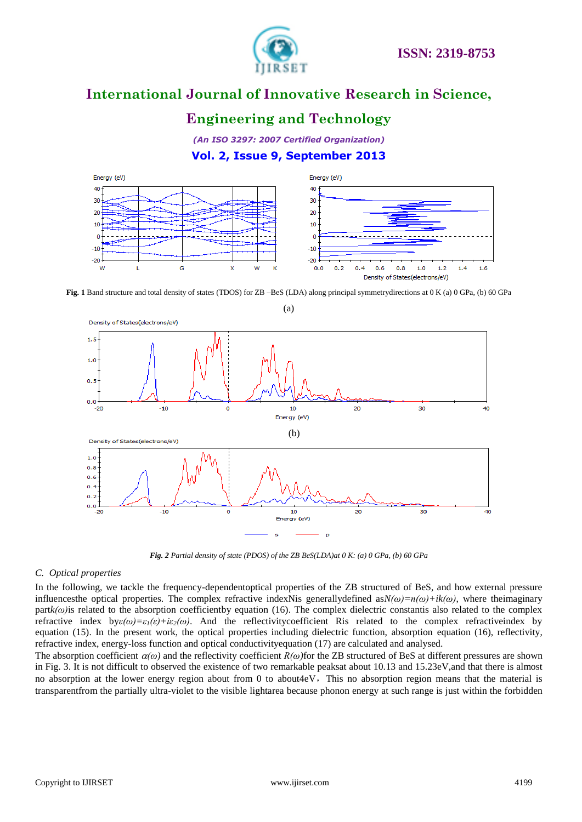

# **Engineering and Technology**

*(An ISO 3297: 2007 Certified Organization)* **Vol. 2, Issue 9, September 2013**



**Fig. 1** Band structure and total density of states (TDOS) for ZB –BeS (LDA) along principal symmetrydirections at 0 K (a) 0 GPa, (b) 60 GPa



*Fig. 2 Partial density of state (PDOS) of the ZB BeS(LDA)at 0 K: (a) 0 GPa, (b) 60 GPa*

### *C. Optical properties*

In the following, we tackle the frequency-dependentoptical properties of the ZB structured of BeS, and how external pressure influencesthe optical properties. The complex refractive indexNis generally defined as $N(\omega)=n(\omega)+ik(\omega)$ , where theimaginary  $partk(\omega)$  is related to the absorption coefficientby equation (16). The complex dielectric constantis also related to the complex refractive index  $bye(\omega)=\varepsilon_1(\varepsilon)+i\varepsilon_2(\omega)$ . And the reflectivity coefficient Ris related to the complex refractiveindex by equation (15). In the present work, the optical properties including dielectric function, absorption equation (16), reflectivity, refractive index, energy-loss function and optical conductivityequation (17) are calculated and analysed.

The absorption coefficient  $\alpha(\omega)$  and the reflectivity coefficient  $R(\omega)$  for the ZB structured of BeS at different pressures are shown in Fig. 3. It is not difficult to observed the existence of two remarkable peaksat about 10.13 and 15.23eV,and that there is almost no absorption at the lower energy region about from 0 to about4eV, This no absorption region means that the material is transparentfrom the partially ultra-violet to the visible lightarea because phonon energy at such range is just within the forbidden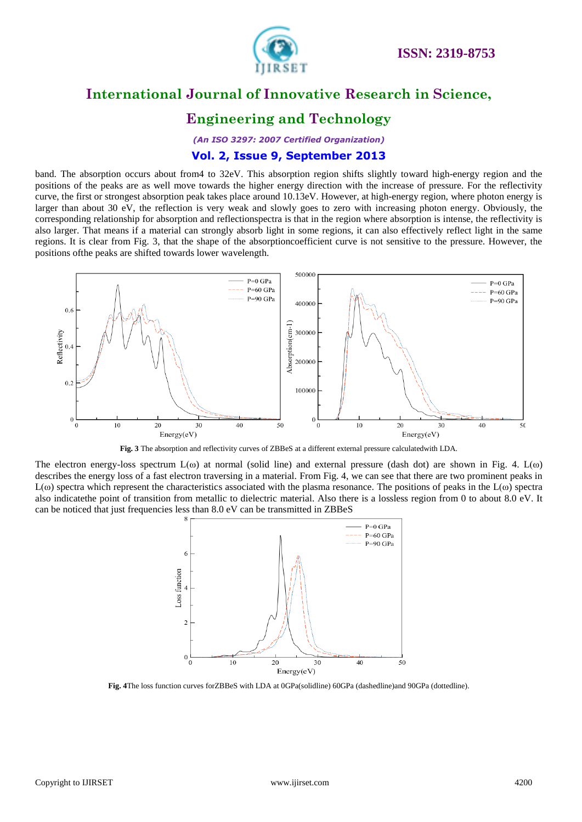

# **Engineering and Technology**

*(An ISO 3297: 2007 Certified Organization)*

### **Vol. 2, Issue 9, September 2013**

band. The absorption occurs about from4 to 32eV. This absorption region shifts slightly toward high-energy region and the positions of the peaks are as well move towards the higher energy direction with the increase of pressure. For the reflectivity curve, the first or strongest absorption peak takes place around 10.13eV. However, at high-energy region, where photon energy is larger than about 30 eV, the reflection is very weak and slowly goes to zero with increasing photon energy. Obviously, the corresponding relationship for absorption and reflectionspectra is that in the region where absorption is intense, the reflectivity is also larger. That means if a material can strongly absorb light in some regions, it can also effectively reflect light in the same regions. It is clear from Fig. 3, that the shape of the absorptioncoefficient curve is not sensitive to the pressure. However, the positions ofthe peaks are shifted towards lower wavelength.



**Fig. 3** The absorption and reflectivity curves of ZBBeS at a different external pressure calculatedwith LDA.

The electron energy-loss spectrum  $L(\omega)$  at normal (solid line) and external pressure (dash dot) are shown in Fig. 4.  $L(\omega)$ describes the energy loss of a fast electron traversing in a material. From Fig. 4, we can see that there are two prominent peaks in  $L(\omega)$  spectra which represent the characteristics associated with the plasma resonance. The positions of peaks in the  $L(\omega)$  spectra also indicatethe point of transition from metallic to dielectric material. Also there is a lossless region from 0 to about 8.0 eV. It can be noticed that just frequencies less than 8.0 eV can be transmitted in ZBBeS



**Fig. 4**The loss function curves forZBBeS with LDA at 0GPa(solidline) 60GPa (dashedline)and 90GPa (dottedline).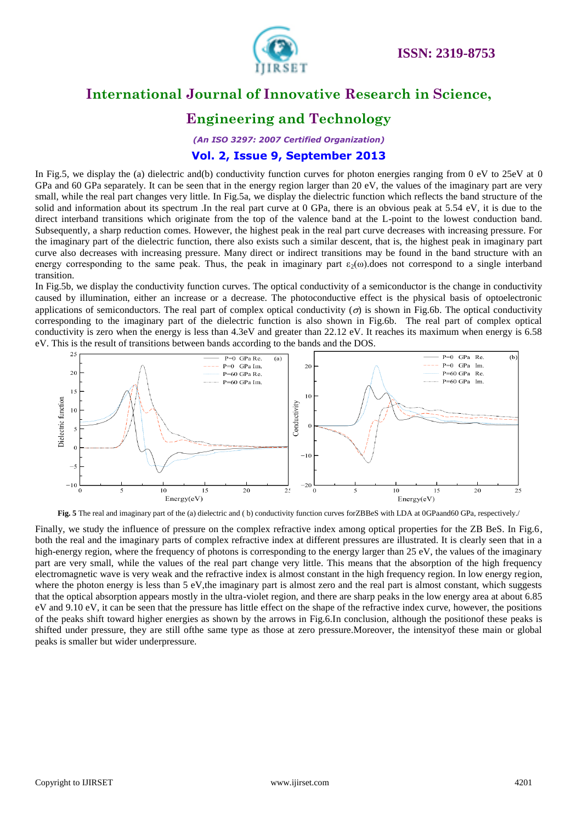

# **Engineering and Technology**

*(An ISO 3297: 2007 Certified Organization)*

### **Vol. 2, Issue 9, September 2013**

In Fig.5, we display the (a) dielectric and(b) conductivity function curves for photon energies ranging from 0 eV to 25eV at 0 GPa and 60 GPa separately. It can be seen that in the energy region larger than 20 eV, the values of the imaginary part are very small, while the real part changes very little. In Fig.5a, we display the dielectric function which reflects the band structure of the solid and information about its spectrum .In the real part curve at 0 GPa, there is an obvious peak at 5.54 eV, it is due to the direct interband transitions which originate from the top of the valence band at the L-point to the lowest conduction band. Subsequently, a sharp reduction comes. However, the highest peak in the real part curve decreases with increasing pressure. For the imaginary part of the dielectric function, there also exists such a similar descent, that is, the highest peak in imaginary part curve also decreases with increasing pressure. Many direct or indirect transitions may be found in the band structure with an energy corresponding to the same peak. Thus, the peak in imaginary part  $\varepsilon_2(\omega)$  does not correspond to a single interband transition.

In Fig.5b, we display the conductivity function curves. The optical conductivity of a semiconductor is the change in conductivity caused by illumination, either an increase or a decrease. The photoconductive effect is the physical basis of optoelectronic applications of semiconductors. The real part of complex optical conductivity ( $\sigma$ ) is shown in Fig.6b. The optical conductivity corresponding to the imaginary part of the dielectric function is also shown in Fig.6b. The real part of complex optical conductivity is zero when the energy is less than 4.3eV and greater than 22.12 eV. It reaches its maximum when energy is 6.58 eV. This is the result of transitions between bands according to the bands and the DOS.



Fig. 5 The real and imaginary part of the (a) dielectric and (b) conductivity function curves forZBBeS with LDA at 0GPaand60 GPa, respectively./

Finally, we study the influence of pressure on the complex refractive index among optical properties for the ZB BeS. In Fig.6, both the real and the imaginary parts of complex refractive index at different pressures are illustrated. It is clearly seen that in a high-energy region, where the frequency of photons is corresponding to the energy larger than 25 eV, the values of the imaginary part are very small, while the values of the real part change very little. This means that the absorption of the high frequency electromagnetic wave is very weak and the refractive index is almost constant in the high frequency region. In low energy region, where the photon energy is less than 5 eV,the imaginary part is almost zero and the real part is almost constant, which suggests that the optical absorption appears mostly in the ultra-violet region, and there are sharp peaks in the low energy area at about 6.85 eV and 9.10 eV, it can be seen that the pressure has little effect on the shape of the refractive index curve, however, the positions of the peaks shift toward higher energies as shown by the arrows in Fig.6.In conclusion, although the positionof these peaks is shifted under pressure, they are still ofthe same type as those at zero pressure.Moreover, the intensityof these main or global peaks is smaller but wider underpressure.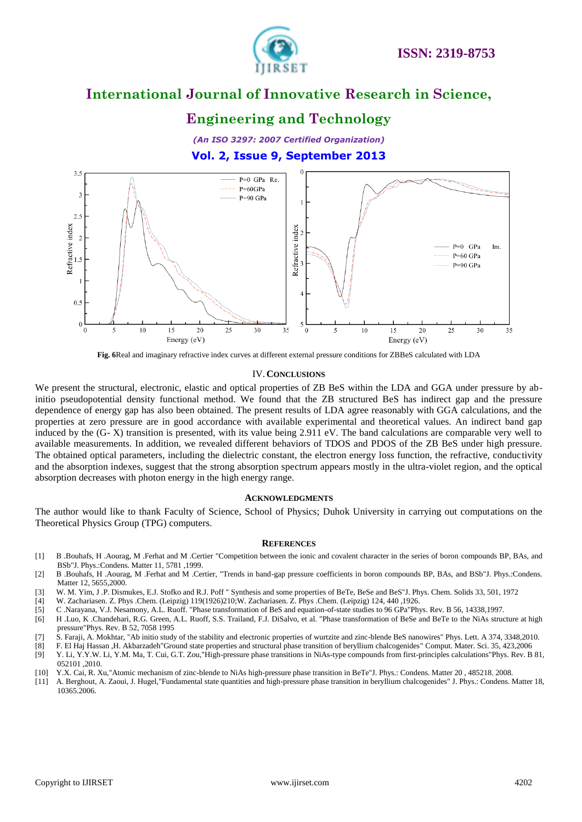

# **Engineering and Technology**

*(An ISO 3297: 2007 Certified Organization)* **Vol. 2, Issue 9, September 2013**



**Fig. 6**Real and imaginary refractive index curves at different external pressure conditions for ZBBeS calculated with LDA

#### IV.**CONCLUSIONS**

We present the structural, electronic, elastic and optical properties of ZB BeS within the LDA and GGA under pressure by abinitio pseudopotential density functional method. We found that the ZB structured BeS has indirect gap and the pressure dependence of energy gap has also been obtained. The present results of LDA agree reasonably with GGA calculations, and the properties at zero pressure are in good accordance with available experimental and theoretical values. An indirect band gap induced by the (G- X) transition is presented, with its value being 2.911 eV. The band calculations are comparable very well to available measurements. In addition, we revealed different behaviors of TDOS and PDOS of the ZB BeS under high pressure. The obtained optical parameters, including the dielectric constant, the electron energy loss function, the refractive, conductivity and the absorption indexes, suggest that the strong absorption spectrum appears mostly in the ultra-violet region, and the optical absorption decreases with photon energy in the high energy range.

#### **ACKNOWLEDGMENTS**

The author would like to thank Faculty of Science, School of Physics; Duhok University in carrying out computations on the Theoretical Physics Group (TPG) computers.

#### **REFERENCES**

- [1] B .Bouhafs, H .Aourag, M .Ferhat and M .Certier "Competition between the ionic and covalent character in the series of boron compounds BP, BAs, and BSb"J. Phys.:Condens. Matter 11, 5781 ,1999.
- [2] B .Bouhafs, H .Aourag, M .Ferhat and M .Certier, "Trends in band-gap pressure coefficients in boron compounds BP, BAs, and BSb"J. Phys.:Condens. Matter 12, 5655,2000.
- [3] W. M. Yim, J .P. Dismukes, E.J. Stofko and R.J. Poff " Synthesis and some properties of BeTe, BeSe and BeS"J. Phys. Chem. Solids 33, 501, 1972
- [4] W. Zachariasen. Z. Phys .Chem. (Leipzig) 119(1926)210;W. Zachariasen. Z. Phys .Chem. (Leipzig) 124, 440 ,1926.
- [5] C .Narayana, V.J. Nesamony, A.L. Ruoff. "Phase transformation of BeS and equation-of-state studies to 96 GPa"Phys. Rev. B 56, 14338,1997.
- [6] H .Luo, K .Chandehari, R.G. Green, A.L. Ruoff, S.S. Trailand, F.J. DiSalvo, et al. "Phase transformation of BeSe and BeTe to the NiAs structure at high pressure"Phys. Rev. B 52, 7058 1995
- [7] S. Faraji, A. Mokhtar, "Ab initio study of the stability and electronic properties of wurtzite and zinc-blende BeS nanowires" Phys. Lett. A 374, 3348,2010.
- 
- [8] F. El Haj Hassan ,H. Akbarzadeh"Ground state properties and structural phase transition of beryllium chalcogenides" Comput. Mater. Sci. 35, 423,2006 [9] Y. Li, Y.Y.W. Li, Y.M. Ma, T. Cui, G.T. Zou,"High-pressure phase transitions in NiAs-type compounds from first-principles calculations"Phys. Rev. B 81, 052101 ,2010.
- [10] Y.X. Cai, R. Xu,"Atomic mechanism of zinc-blende to NiAs high-pressure phase transition in BeTe"J. Phys.: Condens. Matter 20 , 485218. 2008.
- [11] A. Berghout, A. Zaoui, J. Hugel,"Fundamental state quantities and high-pressure phase transition in beryllium chalcogenides" J. Phys.: Condens. Matter 18, 10365.2006.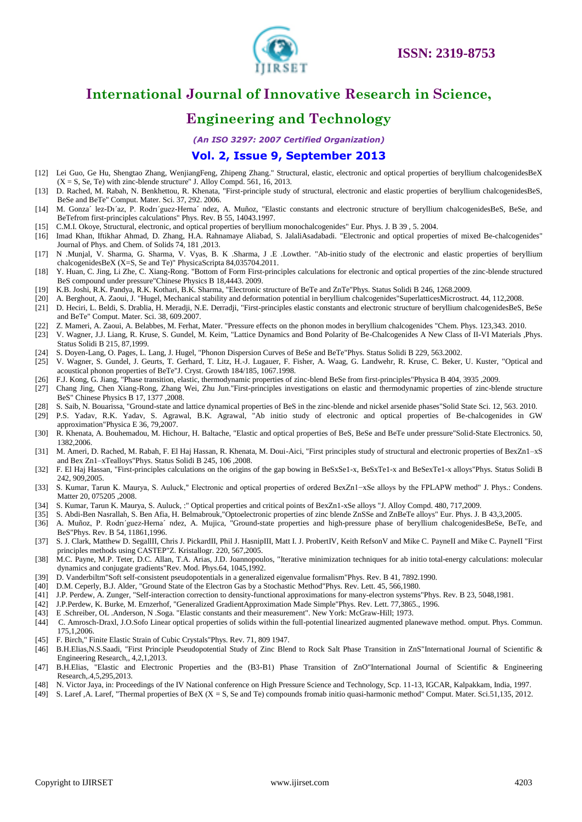

# **Engineering and Technology**

*(An ISO 3297: 2007 Certified Organization)*

### **Vol. 2, Issue 9, September 2013**

- [12] Lei Guo, [Ge Hu,](http://www.worldscientific.com/action/doSearch?action=runSearch&type=advanced&result=true&prevSearch=%2Bauthorsfield%3A(hu%2C+g)) [Shengtao Zhang,](http://www.worldscientific.com/action/doSearch?action=runSearch&type=advanced&result=true&prevSearch=%2Bauthorsfield%3A(zhang%2C+s)) [WenjiangFeng,](http://www.worldscientific.com/action/doSearch?action=runSearch&type=advanced&result=true&prevSearch=%2Bauthorsfield%3A(feng%2C+w)) [Zhipeng Zhang.](http://www.worldscientific.com/action/doSearch?action=runSearch&type=advanced&result=true&prevSearch=%2Bauthorsfield%3A(zhang%2C+z))" Structural, elastic, electronic and optical properties of beryllium chalcogenidesBeX  $(X = S, Se, Te)$  with zinc-blende structure" J. Alloy Compd. 561, 16, 2013.
- [13] D. Rached, M. Rabah, N. Benkhettou, R. Khenata, "First-principle study of structural, electronic and elastic properties of beryllium chalcogenidesBeS, BeSe and BeTe" Comput. Mater. Sci. 37, 292. 2006.
- [14] M. Gonza´ lez-Dı´az, P. Rodrı´guez-Herna´ ndez, A. Muñoz, "Elastic constants and electronic structure of beryllium chalcogenidesBeS, BeSe, and BeTefrom first-principles calculations" Phys. Rev. B 55, 14043.1997.
- [15] C.M.I. Okoye, Structural, electronic, and optical properties of beryllium monochalcogenides" Eur. Phys. J. B 39 , 5. 2004.
- [16] [Imad Khan,](http://www.worldscientific.com/action/doSearch?action=runSearch&type=advanced&result=true&prevSearch=%2Bauthorsfield%3A(khan%2C+imad)) Iftikhar Ahmad, [D. Zhang,](http://www.worldscientific.com/action/doSearch?action=runSearch&type=advanced&result=true&prevSearch=%2Bauthorsfield%3A(zhang%2C+d.)) H.A. Rahnamaye Aliabad, S. JalaliAsadabadi. ["Electronic and optical properties of mixed Be-chalcogenides"](http://www.sciencedirect.com/science/article/pii/S0022369712002648) Journal of Phys. and Chem. of Solids 74, 181 ,2013.
- [17] [N .Munjal,](http://www.worldscientific.com/action/doSearch?action=runSearch&type=advanced&result=true&prevSearch=%2Bauthorsfield%3A(munjal%2C+n)) V. Sharma, [G. Sharma,](http://www.worldscientific.com/action/doSearch?action=runSearch&type=advanced&result=true&prevSearch=%2Bauthorsfield%3A(sharma%2C+g)) [V. Vyas,](http://www.worldscientific.com/action/doSearch?action=runSearch&type=advanced&result=true&prevSearch=%2Bauthorsfield%3A(vyas%2C+v)) [B. K .Sharma,](http://www.worldscientific.com/action/doSearch?action=runSearch&type=advanced&result=true&prevSearch=%2Bauthorsfield%3A(sharma%2C+b+k)) J .E .Lowther. "Ab-initio study of the electronic and elastic properties of beryllium chalcogenidesBeX (X=S, Se and Te)" PhysicaScripta 84,035704.2011.
- [18] [Y. Huan,](http://www.worldscientific.com/action/doSearch?action=runSearch&type=advanced&result=true&prevSearch=%2Bauthorsfield%3A(huan%2C+yang)) [C. Jing,](http://www.worldscientific.com/action/doSearch?action=runSearch&type=advanced&result=true&prevSearch=%2Bauthorsfield%3A(jing%2C+chang)) [Li Zhe,](http://www.worldscientific.com/action/doSearch?action=runSearch&type=advanced&result=true&prevSearch=%2Bauthorsfield%3A(zhe%2C+li)) [C. Xiang-Rong.](http://www.worldscientific.com/action/doSearch?action=runSearch&type=advanced&result=true&prevSearch=%2Bauthorsfield%3A(xiang%5C-rong%2C+chen)) "Bottom of Form First-principles calculations for electronic and optical properties of the zinc-blende structured BeS compound under pressure"Chinese Physics B 18,4443. 2009.
- [19] K.B. Joshi, R.K. Pandya, R.K. Kothari, B.K. Sharma, "Electronic structure of BeTe and ZnTe"Phys. Status Solidi B 246, 1268.2009.
- [20] A. Berghout, A. Zaoui, J. "Hugel, Mechanical stability and deformation potential in beryllium chalcogenides"SuperlatticesMicrostruct. 44, 112,2008.
- [21] D. Heciri, L. Beldi, S. Drablia, H. Meradji, N.E. Derradji, "First-principles elastic constants and electronic structure of beryllium chalcogenidesBeS, BeSe and BeTe" Comput. Mater. Sci. 38, 609.2007.
- [22] Z. Mameri, A. Zaoui, A. Belabbes, M. Ferhat, Mater. "Pressure effects on the phonon modes in beryllium chalcogenides "Chem. Phys. 123,343. 2010.
- [23] V. Wagner, J.J. Liang, R. Kruse, S. Gundel, M. Keim, "Lattice Dynamics and Bond Polarity of Be-Chalcogenides A New Class of II-VI Materials ,Phys. Status Solidi B 215, 87,1999.
- [24] S. Doyen-Lang, O. Pages, L. Lang, J. Hugel, "Phonon Dispersion Curves of BeSe and BeTe"Phys. Status Solidi B 229, 563.2002.
- [25] V. Wagner, S. Gundel, J. Geurts, T. Gerhard, T. Litz, H.-J. Lugauer, F. Fisher, A. Waag, G. Landwehr, R. Kruse, C. Beker, U. Kuster, "Optical and acoustical phonon properties of BeTe"J. Cryst. Growth 184/185, 1067.1998.
- [26] F.J. Kong, G. Jiang, "Phase transition, elastic, thermodynamic properties of zinc-blend BeSe from first-principles"Physica B 404, 3935 ,2009.
- [27] [Chang Jing,](http://www.worldscientific.com/action/doSearch?action=runSearch&type=advanced&result=true&prevSearch=%2Bauthorsfield%3A(jing%2C+chang)) Chen Xiang-Rong, Zhang Wei, Zhu Jun."First-principles investigations on elastic and thermodynamic properties of zinc-blende structure BeS" Chinese Physics B 17, 1377 ,2008.
- [28] S. Saib, N. Bouarissa, "Ground-state and lattice dynamical properties of BeS in the zinc-blende and nickel arsenide phases"Solid State Sci. 12, 563. 2010. [29] P.S. Yadav, R.K. Yadav, S. Agrawal, B.K. Agrawal, "Ab initio study of electronic and optical properties of Be-chalcogenides in GW
- approximation"Physica E 36, 79,2007.
- [30] R. Khenata, A. Bouhemadou, M. Hichour, H. Baltache, "Elastic and optical properties of BeS, BeSe and BeTe under pressure"Solid-State Electronics. 50, 1382,2006.
- [31] M. Ameri, D. Rached, M. Rabah, F. El Haj Hassan, R. Khenata, M. Doui-Aici, "First principles study of structural and electronic properties of BexZn1–xS and Bex Zn1–xTealloys"Phys. Status Solidi B 245, 106 ,2008.
- [32] F. El Haj Hassan, "First-principles calculations on the origins of the gap bowing in BeSxSe1-x, BeSxTe1-x and BeSexTe1-x alloys"Phys. Status Solidi B 242, 909,2005.
- [33] S. Kumar, Tarun K. Maurya, S. Auluck," Electronic and optical properties of ordered BexZn1−xSe alloys by the FPLAPW method" J. Phys.: Condens. Matter 20, 075205 ,2008.
- [34] S. Kumar, Tarun K. Maurya, S. Auluck, :" Optical properties and critical points of BexZn1-xSe alloys "J. Alloy Compd. 480, 717,2009.
- [35] S. Abdi-Ben Nasrallah, S. Ben Afia, H. Belmabrouk,"Optoelectronic properties of zinc blende ZnSSe and ZnBeTe alloys" Eur. Phys. J. B 43,3,2005.
- [36] A. Muñoz, P. Rodrı´guez-Herna´ ndez, A. Mujica, "Ground-state properties and high-pressure phase of beryllium chalcogenidesBeSe, BeTe, and BeS"Phys. Rev. B 54, 11861,1996.
- [37] S. J. Clark, Matthew D. SegallII, Chris J. PickardII, Phil J. HasnipIII, Matt I. J. ProbertIV, Keith RefsonV and Mike C. PayneII and Mike C. PayneII "First principles methods using CASTEP"Z. Kristallogr. 220, 567,2005.
- [38] M.C. Payne, M.P. Teter, D.C. Allan, T.A. Arias, J.D. Joannopoulos, "Iterative minimization techniques for ab initio total-energy calculations: molecular dynamics and conjugate gradients"Rev. Mod. Phys.64, 1045,1992.
- [39] D. Vanderbiltm"Soft self-consistent pseudopotentials in a generalized eigenvalue formalism"Phys. Rev. B 41, 7892.1990.
- [40] D.M. Ceperly, B.J. Alder, "Ground State of the Electron Gas by a Stochastic Method"Phys. Rev. Lett. 45, 566,1980.
- [41] J.P. Perdew, A. Zunger, "Self-interaction correction to density-functional approximations for many-electron systems"Phys. Rev. B 23, 5048,1981.
- [42] J.P.Perdew, K. Burke, M. Ernzerhof, "Generalized GradientApproximation Made Simple"Phys. Rev. Lett. 77,3865., 1996.
- [43] E .Schreiber, OL .Anderson, N .Soga. "Elastic constants and their measurement". New York: McGraw-Hill; 1973.
- [44] C. Amrosch-Draxl, J.O.Sofo Linear optical properties of solids within the full-potential linearized augmented planewave method. omput. Phys. Commun. 175,1,2006.
- [45] F. Birch," Finite Elastic Strain of Cubic Crystals"Phys. Rev. 71, 809 1947.
- [46] B.H.Elias,N.S.Saadi, "First Principle Pseudopotential Study of Zinc Blend to Rock Salt Phase Transition in ZnS"International Journal of Scientific & Engineering Research,, 4,2,1,2013.
- [47] B.H.Elias, "Elastic and Electronic Properties and the (B3-B1) Phase Transition of ZnO"International Journal of Scientific & Engineering Research,.4,5,295,2013.
- [48] N. Victor Jaya, in: Proceedings of the IV National conference on High Pressure Science and Technology, Scp. 11-13, IGCAR, Kalpakkam, India, 1997.
- [49] S. Laref ,A. Laref, "Thermal properties of BeX (X = S, Se and Te) compounds fromab initio quasi-harmonic method" Comput. Mater. Sci.51,135, 2012.